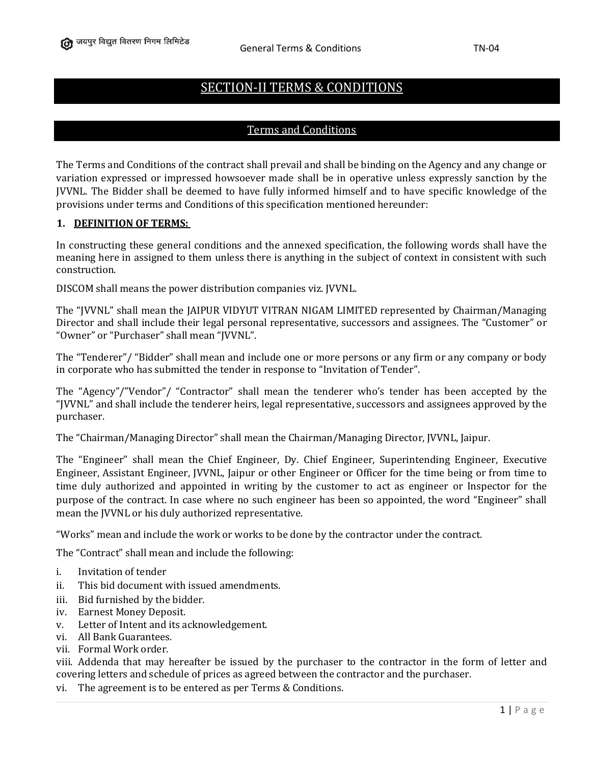# SECTION-II TERMS & CONDITIONS

### Terms and Conditions

The Terms and Conditions of the contract shall prevail and shall be binding on the Agency and any change or variation expressed or impressed howsoever made shall be in operative unless expressly sanction by the JVVNL. The Bidder shall be deemed to have fully informed himself and to have specific knowledge of the provisions under terms and Conditions of this specification mentioned hereunder:

#### **1. DEFINITION OF TERMS:**

In constructing these general conditions and the annexed specification, the following words shall have the meaning here in assigned to them unless there is anything in the subject of context in consistent with such construction.

DISCOM shall means the power distribution companies viz. JVVNL.

The "JVVNL" shall mean the JAIPUR VIDYUT VITRAN NIGAM LIMITED represented by Chairman/Managing Director and shall include their legal personal representative, successors and assignees. The "Customer" or "Owner" or "Purchaser" shall mean "JVVNL".

The "Tenderer"/ "Bidder" shall mean and include one or more persons or any firm or any company or body in corporate who has submitted the tender in response to "Invitation of Tender".

The "Agency"/"Vendor"/ "Contractor" shall mean the tenderer who's tender has been accepted by the "JVVNL" and shall include the tenderer heirs, legal representative, successors and assignees approved by the purchaser.

The "Chairman/Managing Director" shall mean the Chairman/Managing Director, JVVNL, Jaipur.

The "Engineer" shall mean the Chief Engineer, Dy. Chief Engineer, Superintending Engineer, Executive Engineer, Assistant Engineer, JVVNL, Jaipur or other Engineer or Officer for the time being or from time to time duly authorized and appointed in writing by the customer to act as engineer or Inspector for the purpose of the contract. In case where no such engineer has been so appointed, the word "Engineer" shall mean the JVVNL or his duly authorized representative.

"Works" mean and include the work or works to be done by the contractor under the contract.

The "Contract" shall mean and include the following:

- i. Invitation of tender
- ii. This bid document with issued amendments.
- iii. Bid furnished by the bidder.
- iv. Earnest Money Deposit.
- v. Letter of Intent and its acknowledgement.
- vi. All Bank Guarantees.
- vii. Formal Work order.

viii. Addenda that may hereafter be issued by the purchaser to the contractor in the form of letter and covering letters and schedule of prices as agreed between the contractor and the purchaser.

vi. The agreement is to be entered as per Terms & Conditions.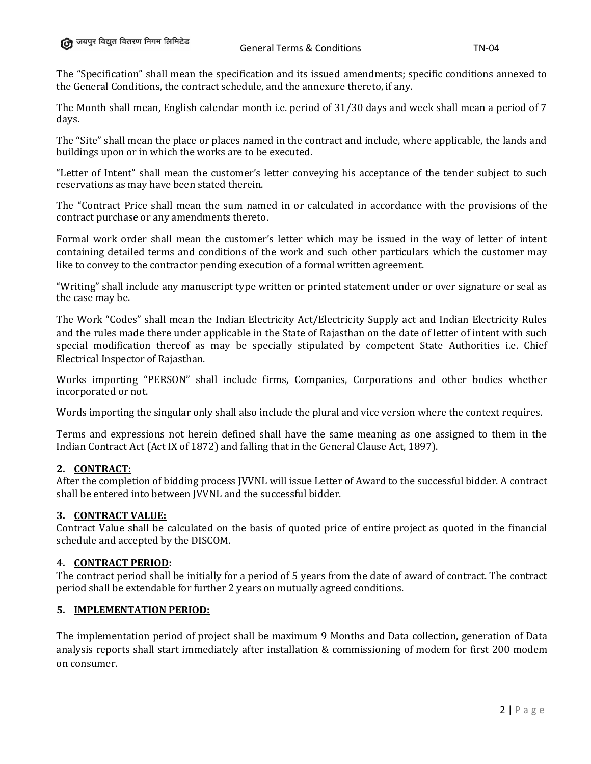The "Specification" shall mean the specification and its issued amendments; specific conditions annexed to the General Conditions, the contract schedule, and the annexure thereto, if any.

The Month shall mean, English calendar month i.e. period of 31/30 days and week shall mean a period of 7 days.

The "Site" shall mean the place or places named in the contract and include, where applicable, the lands and buildings upon or in which the works are to be executed.

"Letter of Intent" shall mean the customer's letter conveying his acceptance of the tender subject to such reservations as may have been stated therein.

The "Contract Price shall mean the sum named in or calculated in accordance with the provisions of the contract purchase or any amendments thereto.

Formal work order shall mean the customer's letter which may be issued in the way of letter of intent containing detailed terms and conditions of the work and such other particulars which the customer may like to convey to the contractor pending execution of a formal written agreement.

"Writing" shall include any manuscript type written or printed statement under or over signature or seal as the case may be.

The Work "Codes" shall mean the Indian Electricity Act/Electricity Supply act and Indian Electricity Rules and the rules made there under applicable in the State of Rajasthan on the date of letter of intent with such special modification thereof as may be specially stipulated by competent State Authorities i.e. Chief Electrical Inspector of Rajasthan.

Works importing "PERSON" shall include firms, Companies, Corporations and other bodies whether incorporated or not.

Words importing the singular only shall also include the plural and vice version where the context requires.

Terms and expressions not herein defined shall have the same meaning as one assigned to them in the Indian Contract Act (Act IX of 1872) and falling that in the General Clause Act, 1897).

# **2. CONTRACT:**

After the completion of bidding process JVVNL will issue Letter of Award to the successful bidder. A contract shall be entered into between JVVNL and the successful bidder.

### **3. CONTRACT VALUE:**

Contract Value shall be calculated on the basis of quoted price of entire project as quoted in the financial schedule and accepted by the DISCOM.

#### **4. CONTRACT PERIOD:**

The contract period shall be initially for a period of 5 years from the date of award of contract. The contract period shall be extendable for further 2 years on mutually agreed conditions.

#### **5. IMPLEMENTATION PERIOD:**

The implementation period of project shall be maximum 9 Months and Data collection, generation of Data analysis reports shall start immediately after installation & commissioning of modem for first 200 modem on consumer.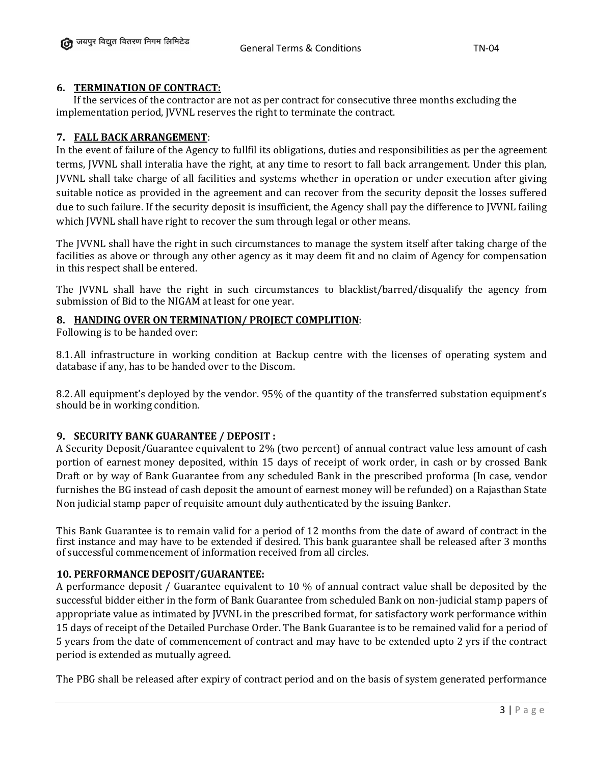# **6. TERMINATION OF CONTRACT:**

 If the services of the contractor are not as per contract for consecutive three months excluding the implementation period, JVVNL reserves the right to terminate the contract.

# **7. FALL BACK ARRANGEMENT**:

In the event of failure of the Agency to fullfil its obligations, duties and responsibilities as per the agreement terms, JVVNL shall interalia have the right, at any time to resort to fall back arrangement. Under this plan, JVVNL shall take charge of all facilities and systems whether in operation or under execution after giving suitable notice as provided in the agreement and can recover from the security deposit the losses suffered due to such failure. If the security deposit is insufficient, the Agency shall pay the difference to JVVNL failing which JVVNL shall have right to recover the sum through legal or other means.

The JVVNL shall have the right in such circumstances to manage the system itself after taking charge of the facilities as above or through any other agency as it may deem fit and no claim of Agency for compensation in this respect shall be entered.

The JVVNL shall have the right in such circumstances to blacklist/barred/disqualify the agency from submission of Bid to the NIGAM at least for one year.

# **8. HANDING OVER ON TERMINATION/ PROJECT COMPLITION**:

Following is to be handed over:

8.1.All infrastructure in working condition at Backup centre with the licenses of operating system and database if any, has to be handed over to the Discom.

8.2.All equipment's deployed by the vendor. 95% of the quantity of the transferred substation equipment's should be in working condition.

# **9. SECURITY BANK GUARANTEE / DEPOSIT :**

A Security Deposit/Guarantee equivalent to 2% (two percent) of annual contract value less amount of cash portion of earnest money deposited, within 15 days of receipt of work order, in cash or by crossed Bank Draft or by way of Bank Guarantee from any scheduled Bank in the prescribed proforma (In case, vendor furnishes the BG instead of cash deposit the amount of earnest money will be refunded) on a Rajasthan State Non judicial stamp paper of requisite amount duly authenticated by the issuing Banker.

This Bank Guarantee is to remain valid for a period of 12 months from the date of award of contract in the first instance and may have to be extended if desired. This bank guarantee shall be released after 3 months of successful commencement of information received from all circles.

# **10. PERFORMANCE DEPOSIT/GUARANTEE:**

A performance deposit / Guarantee equivalent to 10 % of annual contract value shall be deposited by the successful bidder either in the form of Bank Guarantee from scheduled Bank on non-judicial stamp papers of appropriate value as intimated by JVVNL in the prescribed format, for satisfactory work performance within 15 days of receipt of the Detailed Purchase Order. The Bank Guarantee is to be remained valid for a period of 5 years from the date of commencement of contract and may have to be extended upto 2 yrs if the contract period is extended as mutually agreed.

The PBG shall be released after expiry of contract period and on the basis of system generated performance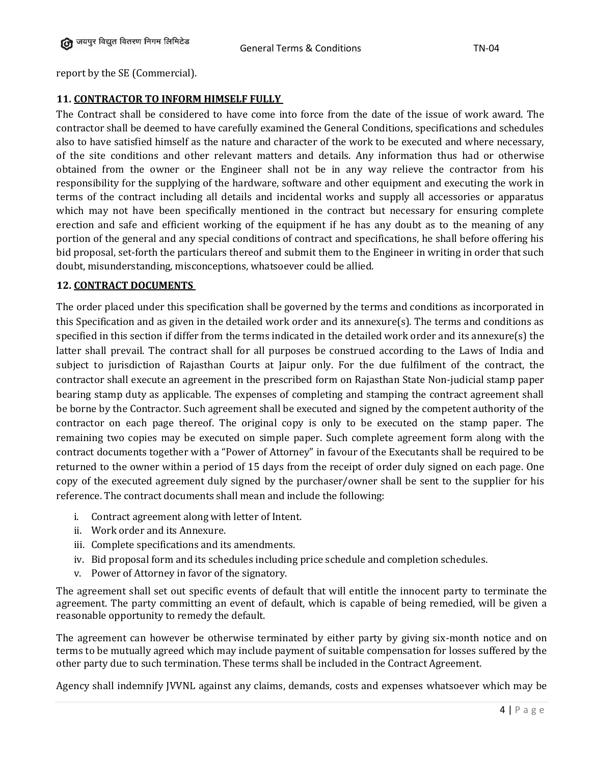report by the SE (Commercial).

# **11. CONTRACTOR TO INFORM HIMSELF FULLY**

The Contract shall be considered to have come into force from the date of the issue of work award. The contractor shall be deemed to have carefully examined the General Conditions, specifications and schedules also to have satisfied himself as the nature and character of the work to be executed and where necessary, of the site conditions and other relevant matters and details. Any information thus had or otherwise obtained from the owner or the Engineer shall not be in any way relieve the contractor from his responsibility for the supplying of the hardware, software and other equipment and executing the work in terms of the contract including all details and incidental works and supply all accessories or apparatus which may not have been specifically mentioned in the contract but necessary for ensuring complete erection and safe and efficient working of the equipment if he has any doubt as to the meaning of any portion of the general and any special conditions of contract and specifications, he shall before offering his bid proposal, set-forth the particulars thereof and submit them to the Engineer in writing in order that such doubt, misunderstanding, misconceptions, whatsoever could be allied.

# **12. CONTRACT DOCUMENTS**

The order placed under this specification shall be governed by the terms and conditions as incorporated in this Specification and as given in the detailed work order and its annexure(s). The terms and conditions as specified in this section if differ from the terms indicated in the detailed work order and its annexure(s) the latter shall prevail. The contract shall for all purposes be construed according to the Laws of India and subject to jurisdiction of Rajasthan Courts at Jaipur only. For the due fulfilment of the contract, the contractor shall execute an agreement in the prescribed form on Rajasthan State Non-judicial stamp paper bearing stamp duty as applicable. The expenses of completing and stamping the contract agreement shall be borne by the Contractor. Such agreement shall be executed and signed by the competent authority of the contractor on each page thereof. The original copy is only to be executed on the stamp paper. The remaining two copies may be executed on simple paper. Such complete agreement form along with the contract documents together with a "Power of Attorney" in favour of the Executants shall be required to be returned to the owner within a period of 15 days from the receipt of order duly signed on each page. One copy of the executed agreement duly signed by the purchaser/owner shall be sent to the supplier for his reference. The contract documents shall mean and include the following:

- i. Contract agreement along with letter of Intent.
- ii. Work order and its Annexure.
- iii. Complete specifications and its amendments.
- iv. Bid proposal form and its schedules including price schedule and completion schedules.
- v. Power of Attorney in favor of the signatory.

The agreement shall set out specific events of default that will entitle the innocent party to terminate the agreement. The party committing an event of default, which is capable of being remedied, will be given a reasonable opportunity to remedy the default.

The agreement can however be otherwise terminated by either party by giving six-month notice and on terms to be mutually agreed which may include payment of suitable compensation for losses suffered by the other party due to such termination. These terms shall be included in the Contract Agreement.

Agency shall indemnify JVVNL against any claims, demands, costs and expenses whatsoever which may be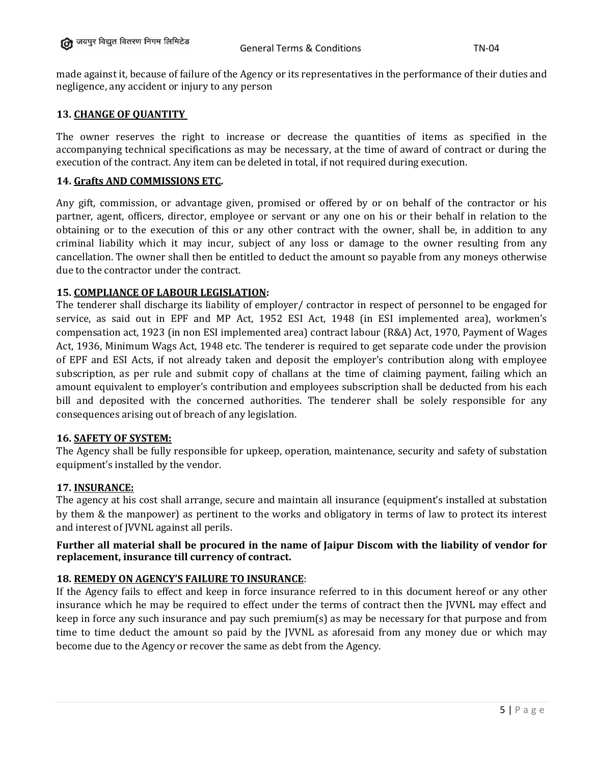made against it, because of failure of the Agency or its representatives in the performance of their duties and negligence, any accident or injury to any person

# **13. CHANGE OF QUANTITY**

The owner reserves the right to increase or decrease the quantities of items as specified in the accompanying technical specifications as may be necessary, at the time of award of contract or during the execution of the contract. Any item can be deleted in total, if not required during execution.

# **14. Grafts AND COMMISSIONS ETC.**

Any gift, commission, or advantage given, promised or offered by or on behalf of the contractor or his partner, agent, officers, director, employee or servant or any one on his or their behalf in relation to the obtaining or to the execution of this or any other contract with the owner, shall be, in addition to any criminal liability which it may incur, subject of any loss or damage to the owner resulting from any cancellation. The owner shall then be entitled to deduct the amount so payable from any moneys otherwise due to the contractor under the contract.

# **15. COMPLIANCE OF LABOUR LEGISLATION:**

The tenderer shall discharge its liability of employer/ contractor in respect of personnel to be engaged for service, as said out in EPF and MP Act, 1952 ESI Act, 1948 (in ESI implemented area), workmen's compensation act, 1923 (in non ESI implemented area) contract labour (R&A) Act, 1970, Payment of Wages Act, 1936, Minimum Wags Act, 1948 etc. The tenderer is required to get separate code under the provision of EPF and ESI Acts, if not already taken and deposit the employer's contribution along with employee subscription, as per rule and submit copy of challans at the time of claiming payment, failing which an amount equivalent to employer's contribution and employees subscription shall be deducted from his each bill and deposited with the concerned authorities. The tenderer shall be solely responsible for any consequences arising out of breach of any legislation.

# **16. SAFETY OF SYSTEM:**

The Agency shall be fully responsible for upkeep, operation, maintenance, security and safety of substation equipment's installed by the vendor.

# **17. INSURANCE:**

The agency at his cost shall arrange, secure and maintain all insurance (equipment's installed at substation by them & the manpower) as pertinent to the works and obligatory in terms of law to protect its interest and interest of JVVNL against all perils.

# **Further all material shall be procured in the name of Jaipur Discom with the liability of vendor for replacement, insurance till currency of contract.**

# **18. REMEDY ON AGENCY'S FAILURE TO INSURANCE**:

If the Agency fails to effect and keep in force insurance referred to in this document hereof or any other insurance which he may be required to effect under the terms of contract then the JVVNL may effect and keep in force any such insurance and pay such premium(s) as may be necessary for that purpose and from time to time deduct the amount so paid by the JVVNL as aforesaid from any money due or which may become due to the Agency or recover the same as debt from the Agency.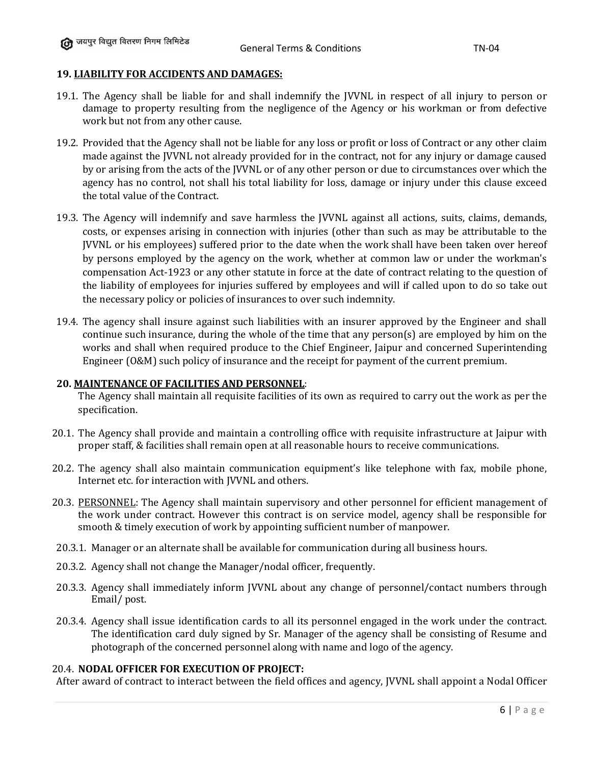### **19. LIABILITY FOR ACCIDENTS AND DAMAGES:**

- 19.1. The Agency shall be liable for and shall indemnify the JVVNL in respect of all injury to person or damage to property resulting from the negligence of the Agency or his workman or from defective work but not from any other cause.
- 19.2. Provided that the Agency shall not be liable for any loss or profit or loss of Contract or any other claim made against the JVVNL not already provided for in the contract, not for any injury or damage caused by or arising from the acts of the JVVNL or of any other person or due to circumstances over which the agency has no control, not shall his total liability for loss, damage or injury under this clause exceed the total value of the Contract.
- 19.3. The Agency will indemnify and save harmless the JVVNL against all actions, suits, claims, demands, costs, or expenses arising in connection with injuries (other than such as may be attributable to the JVVNL or his employees) suffered prior to the date when the work shall have been taken over hereof by persons employed by the agency on the work, whether at common law or under the workman's compensation Act-1923 or any other statute in force at the date of contract relating to the question of the liability of employees for injuries suffered by employees and will if called upon to do so take out the necessary policy or policies of insurances to over such indemnity.
- 19.4. The agency shall insure against such liabilities with an insurer approved by the Engineer and shall continue such insurance, during the whole of the time that any person(s) are employed by him on the works and shall when required produce to the Chief Engineer, Jaipur and concerned Superintending Engineer (O&M) such policy of insurance and the receipt for payment of the current premium.

#### **20. MAINTENANCE OF FACILITIES AND PERSONNEL**:

The Agency shall maintain all requisite facilities of its own as required to carry out the work as per the specification.

- 20.1. The Agency shall provide and maintain a controlling office with requisite infrastructure at Jaipur with proper staff, & facilities shall remain open at all reasonable hours to receive communications.
- 20.2. The agency shall also maintain communication equipment's like telephone with fax, mobile phone, Internet etc. for interaction with JVVNL and others.
- 20.3. PERSONNEL: The Agency shall maintain supervisory and other personnel for efficient management of the work under contract. However this contract is on service model, agency shall be responsible for smooth & timely execution of work by appointing sufficient number of manpower.
- 20.3.1. Manager or an alternate shall be available for communication during all business hours.
- 20.3.2. Agency shall not change the Manager/nodal officer, frequently.
- 20.3.3. Agency shall immediately inform JVVNL about any change of personnel/contact numbers through Email/ post.
- 20.3.4. Agency shall issue identification cards to all its personnel engaged in the work under the contract. The identification card duly signed by Sr. Manager of the agency shall be consisting of Resume and photograph of the concerned personnel along with name and logo of the agency.

#### 20.4. **NODAL OFFICER FOR EXECUTION OF PROJECT:**

After award of contract to interact between the field offices and agency, JVVNL shall appoint a Nodal Officer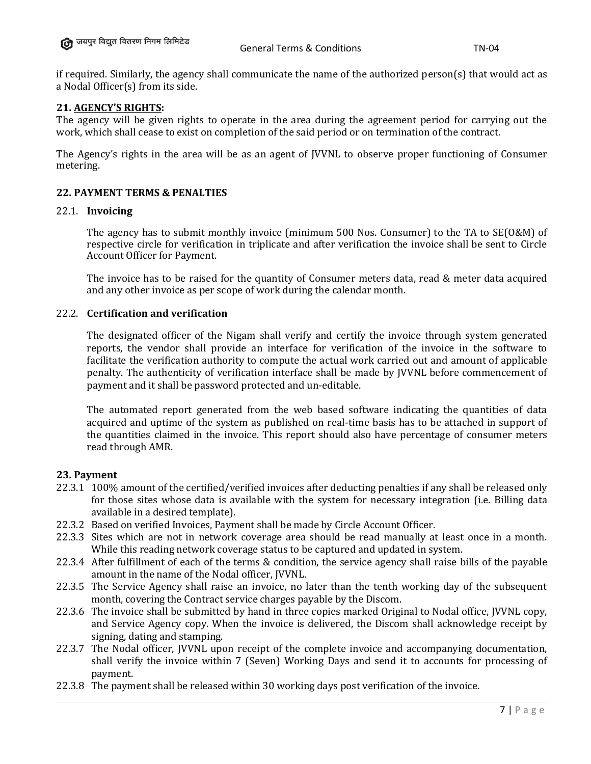if required. Similarly, the agency shall communicate the name of the authorized person(s) that would act as a Nodal Officer(s) from its side.

### **21. AGENCY'S RIGHTS:**

The agency will be given rights to operate in the area during the agreement period for carrying out the work, which shall cease to exist on completion of the said period or on termination of the contract.

The Agency's rights in the area will be as an agent of JVVNL to observe proper functioning of Consumer metering.

### **22. PAYMENT TERMS & PENALTIES**

#### 22.1. **Invoicing**

The agency has to submit monthly invoice (minimum 500 Nos. Consumer) to the TA to SE(O&M) of respective circle for verification in triplicate and after verification the invoice shall be sent to Circle Account Officer for Payment.

The invoice has to be raised for the quantity of Consumer meters data, read & meter data acquired and any other invoice as per scope of work during the calendar month.

#### 22.2. **Certification and verification**

The designated officer of the Nigam shall verify and certify the invoice through system generated reports, the vendor shall provide an interface for verification of the invoice in the software to facilitate the verification authority to compute the actual work carried out and amount of applicable penalty. The authenticity of verification interface shall be made by JVVNL before commencement of payment and it shall be password protected and un-editable.

The automated report generated from the web based software indicating the quantities of data acquired and uptime of the system as published on real-time basis has to be attached in support of the quantities claimed in the invoice. This report should also have percentage of consumer meters read through AMR.

#### **23. Payment**

- 22.3.1 100% amount of the certified/verified invoices after deducting penalties if any shall be released only for those sites whose data is available with the system for necessary integration (i.e. Billing data available in a desired template).
- 22.3.2 Based on verified Invoices, Payment shall be made by Circle Account Officer.
- 22.3.3 Sites which are not in network coverage area should be read manually at least once in a month. While this reading network coverage status to be captured and updated in system.
- 22.3.4 After fulfillment of each of the terms & condition, the service agency shall raise bills of the payable amount in the name of the Nodal officer, JVVNL.
- 22.3.5 The Service Agency shall raise an invoice, no later than the tenth working day of the subsequent month, covering the Contract service charges payable by the Discom.
- 22.3.6 The invoice shall be submitted by hand in three copies marked Original to Nodal office, JVVNL copy, and Service Agency copy. When the invoice is delivered, the Discom shall acknowledge receipt by signing, dating and stamping.
- 22.3.7 The Nodal officer, JVVNL upon receipt of the complete invoice and accompanying documentation, shall verify the invoice within 7 (Seven) Working Days and send it to accounts for processing of payment.
- 22.3.8 The payment shall be released within 30 working days post verification of the invoice.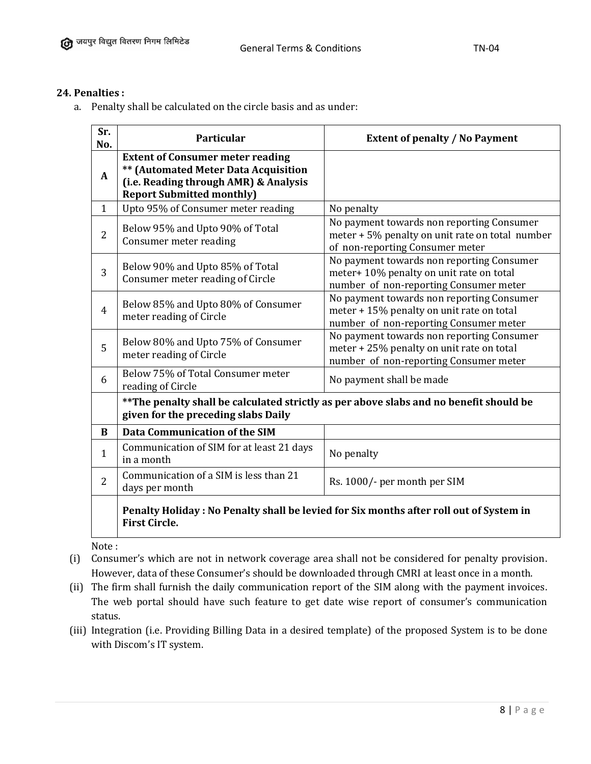# **24. Penalties :**

a. Penalty shall be calculated on the circle basis and as under:

| Sr.<br>No.     | <b>Particular</b>                                                                                                                                            | <b>Extent of penalty / No Payment</b>                                                                                            |
|----------------|--------------------------------------------------------------------------------------------------------------------------------------------------------------|----------------------------------------------------------------------------------------------------------------------------------|
| A              | <b>Extent of Consumer meter reading</b><br>** (Automated Meter Data Acquisition<br>(i.e. Reading through AMR) & Analysis<br><b>Report Submitted monthly)</b> |                                                                                                                                  |
| $\mathbf{1}$   | Upto 95% of Consumer meter reading                                                                                                                           | No penalty                                                                                                                       |
| $\overline{2}$ | Below 95% and Upto 90% of Total<br>Consumer meter reading                                                                                                    | No payment towards non reporting Consumer<br>meter + 5% penalty on unit rate on total number<br>of non-reporting Consumer meter  |
| 3              | Below 90% and Upto 85% of Total<br>Consumer meter reading of Circle                                                                                          | No payment towards non reporting Consumer<br>meter+ 10% penalty on unit rate on total<br>number of non-reporting Consumer meter  |
| $\overline{4}$ | Below 85% and Upto 80% of Consumer<br>meter reading of Circle                                                                                                | No payment towards non reporting Consumer<br>meter + 15% penalty on unit rate on total<br>number of non-reporting Consumer meter |
| 5              | Below 80% and Upto 75% of Consumer<br>meter reading of Circle                                                                                                | No payment towards non reporting Consumer<br>meter + 25% penalty on unit rate on total<br>number of non-reporting Consumer meter |
| 6              | Below 75% of Total Consumer meter<br>reading of Circle                                                                                                       | No payment shall be made                                                                                                         |
|                | ** The penalty shall be calculated strictly as per above slabs and no benefit should be<br>given for the preceding slabs Daily                               |                                                                                                                                  |
| B              | <b>Data Communication of the SIM</b>                                                                                                                         |                                                                                                                                  |
| $\mathbf{1}$   | Communication of SIM for at least 21 days<br>in a month                                                                                                      | No penalty                                                                                                                       |
| $\overline{2}$ | Communication of a SIM is less than 21<br>days per month                                                                                                     | Rs. 1000/- per month per SIM                                                                                                     |
|                | <b>First Circle.</b>                                                                                                                                         | Penalty Holiday : No Penalty shall be levied for Six months after roll out of System in                                          |

Note :

- (i) Consumer's which are not in network coverage area shall not be considered for penalty provision. However, data of these Consumer's should be downloaded through CMRI at least once in a month.
- (ii) The firm shall furnish the daily communication report of the SIM along with the payment invoices. The web portal should have such feature to get date wise report of consumer's communication status.
- (iii) Integration (i.e. Providing Billing Data in a desired template) of the proposed System is to be done with Discom's IT system.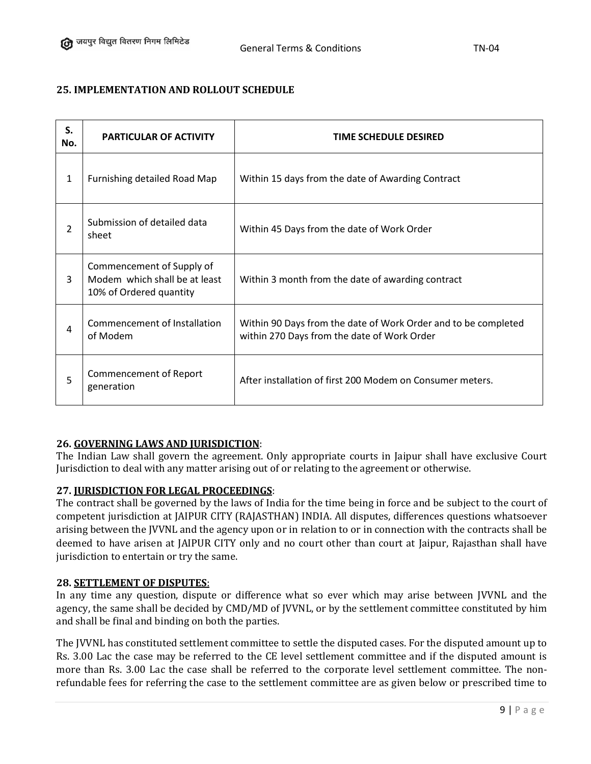# **25. IMPLEMENTATION AND ROLLOUT SCHEDULE**

| S.<br>No.    | <b>PARTICULAR OF ACTIVITY</b>                                                         | TIME SCHEDULE DESIRED                                                                                         |
|--------------|---------------------------------------------------------------------------------------|---------------------------------------------------------------------------------------------------------------|
| $\mathbf{1}$ | Furnishing detailed Road Map                                                          | Within 15 days from the date of Awarding Contract                                                             |
| 2            | Submission of detailed data<br>sheet                                                  | Within 45 Days from the date of Work Order                                                                    |
| 3            | Commencement of Supply of<br>Modem which shall be at least<br>10% of Ordered quantity | Within 3 month from the date of awarding contract                                                             |
| 4            | Commencement of Installation<br>of Modem                                              | Within 90 Days from the date of Work Order and to be completed<br>within 270 Days from the date of Work Order |
| 5            | Commencement of Report<br>generation                                                  | After installation of first 200 Modem on Consumer meters.                                                     |

# **26. GOVERNING LAWS AND JURISDICTION**:

The Indian Law shall govern the agreement. Only appropriate courts in Jaipur shall have exclusive Court Jurisdiction to deal with any matter arising out of or relating to the agreement or otherwise.

# **27. JURISDICTION FOR LEGAL PROCEEDINGS**:

The contract shall be governed by the laws of India for the time being in force and be subject to the court of competent jurisdiction at JAIPUR CITY (RAJASTHAN) INDIA. All disputes, differences questions whatsoever arising between the JVVNL and the agency upon or in relation to or in connection with the contracts shall be deemed to have arisen at JAIPUR CITY only and no court other than court at Jaipur, Rajasthan shall have jurisdiction to entertain or try the same.

# **28. SETTLEMENT OF DISPUTES**:

In any time any question, dispute or difference what so ever which may arise between JVVNL and the agency, the same shall be decided by CMD/MD of JVVNL, or by the settlement committee constituted by him and shall be final and binding on both the parties.

The JVVNL has constituted settlement committee to settle the disputed cases. For the disputed amount up to Rs. 3.00 Lac the case may be referred to the CE level settlement committee and if the disputed amount is more than Rs. 3.00 Lac the case shall be referred to the corporate level settlement committee. The nonrefundable fees for referring the case to the settlement committee are as given below or prescribed time to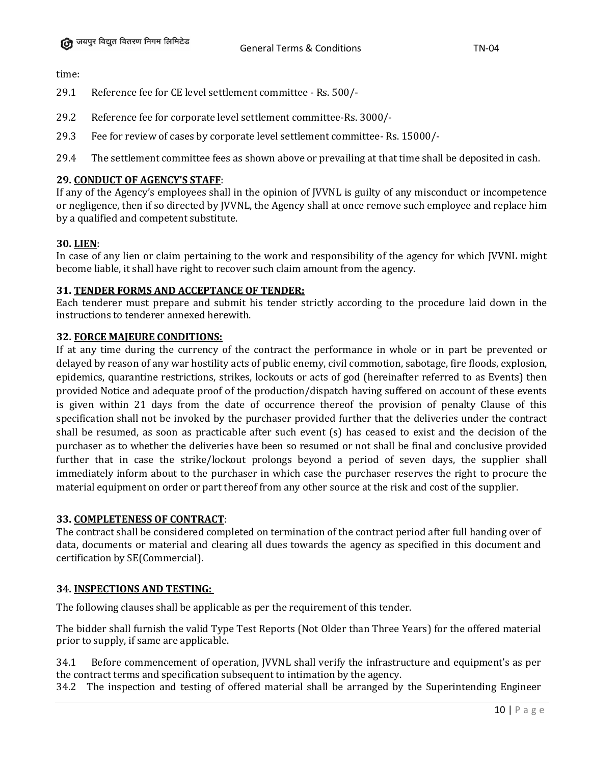time:

- 29.1 Reference fee for CE level settlement committee Rs. 500/-
- 29.2 Reference fee for corporate level settlement committee-Rs. 3000/-
- 29.3 Fee for review of cases by corporate level settlement committee- Rs. 15000/-
- 29.4 The settlement committee fees as shown above or prevailing at that time shall be deposited in cash.

# **29. CONDUCT OF AGENCY'S STAFF**:

If any of the Agency's employees shall in the opinion of JVVNL is guilty of any misconduct or incompetence or negligence, then if so directed by JVVNL, the Agency shall at once remove such employee and replace him by a qualified and competent substitute.

# **30. LIEN**:

In case of any lien or claim pertaining to the work and responsibility of the agency for which JVVNL might become liable, it shall have right to recover such claim amount from the agency.

# **31. TENDER FORMS AND ACCEPTANCE OF TENDER:**

Each tenderer must prepare and submit his tender strictly according to the procedure laid down in the instructions to tenderer annexed herewith.

# **32. FORCE MAJEURE CONDITIONS:**

If at any time during the currency of the contract the performance in whole or in part be prevented or delayed by reason of any war hostility acts of public enemy, civil commotion, sabotage, fire floods, explosion, epidemics, quarantine restrictions, strikes, lockouts or acts of god (hereinafter referred to as Events) then provided Notice and adequate proof of the production/dispatch having suffered on account of these events is given within 21 days from the date of occurrence thereof the provision of penalty Clause of this specification shall not be invoked by the purchaser provided further that the deliveries under the contract shall be resumed, as soon as practicable after such event (s) has ceased to exist and the decision of the purchaser as to whether the deliveries have been so resumed or not shall be final and conclusive provided further that in case the strike/lockout prolongs beyond a period of seven days, the supplier shall immediately inform about to the purchaser in which case the purchaser reserves the right to procure the material equipment on order or part thereof from any other source at the risk and cost of the supplier.

# **33. COMPLETENESS OF CONTRACT**:

The contract shall be considered completed on termination of the contract period after full handing over of data, documents or material and clearing all dues towards the agency as specified in this document and certification by SE(Commercial).

# **34. INSPECTIONS AND TESTING:**

The following clauses shall be applicable as per the requirement of this tender.

The bidder shall furnish the valid Type Test Reports (Not Older than Three Years) for the offered material prior to supply, if same are applicable.

34.1 Before commencement of operation, JVVNL shall verify the infrastructure and equipment's as per the contract terms and specification subsequent to intimation by the agency.

34.2 The inspection and testing of offered material shall be arranged by the Superintending Engineer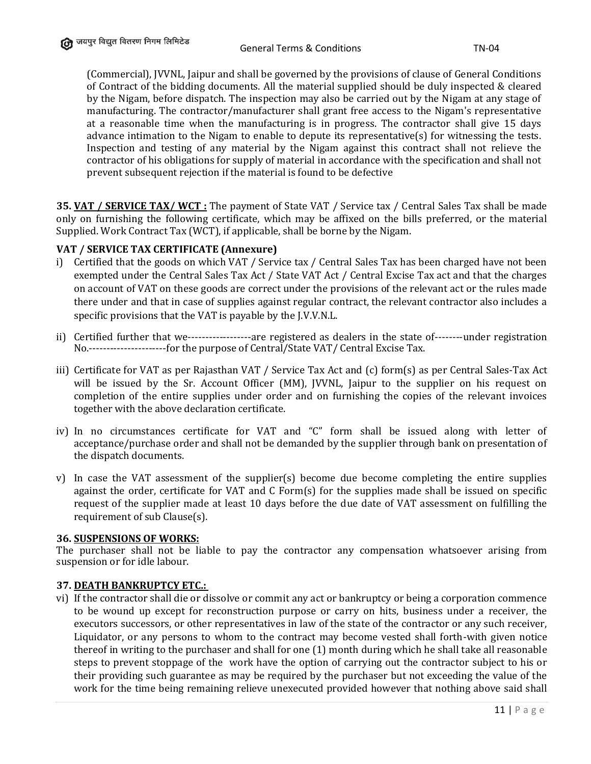(Commercial), JVVNL, Jaipur and shall be governed by the provisions of clause of General Conditions of Contract of the bidding documents. All the material supplied should be duly inspected & cleared by the Nigam, before dispatch. The inspection may also be carried out by the Nigam at any stage of manufacturing. The contractor/manufacturer shall grant free access to the Nigam's representative at a reasonable time when the manufacturing is in progress. The contractor shall give 15 days advance intimation to the Nigam to enable to depute its representative(s) for witnessing the tests. Inspection and testing of any material by the Nigam against this contract shall not relieve the contractor of his obligations for supply of material in accordance with the specification and shall not prevent subsequent rejection if the material is found to be defective

**35. VAT / SERVICE TAX/ WCT :** The payment of State VAT / Service tax / Central Sales Tax shall be made only on furnishing the following certificate, which may be affixed on the bills preferred, or the material Supplied. Work Contract Tax (WCT), if applicable, shall be borne by the Nigam.

# **VAT / SERVICE TAX CERTIFICATE (Annexure)**

- i) Certified that the goods on which VAT / Service tax / Central Sales Tax has been charged have not been exempted under the Central Sales Tax Act / State VAT Act / Central Excise Tax act and that the charges on account of VAT on these goods are correct under the provisions of the relevant act or the rules made there under and that in case of supplies against regular contract, the relevant contractor also includes a specific provisions that the VAT is payable by the J.V.V.N.L.
- ii) Certified further that we------------------are registered as dealers in the state of--------under registration No.----------------------for the purpose of Central/State VAT/ Central Excise Tax.
- iii) Certificate for VAT as per Rajasthan VAT / Service Tax Act and (c) form(s) as per Central Sales-Tax Act will be issued by the Sr. Account Officer (MM), JVVNL, Jaipur to the supplier on his request on completion of the entire supplies under order and on furnishing the copies of the relevant invoices together with the above declaration certificate.
- iv) In no circumstances certificate for VAT and "C" form shall be issued along with letter of acceptance/purchase order and shall not be demanded by the supplier through bank on presentation of the dispatch documents.
- v) In case the VAT assessment of the supplier(s) become due become completing the entire supplies against the order, certificate for VAT and C Form(s) for the supplies made shall be issued on specific request of the supplier made at least 10 days before the due date of VAT assessment on fulfilling the requirement of sub Clause(s).

#### **36. SUSPENSIONS OF WORKS:**

The purchaser shall not be liable to pay the contractor any compensation whatsoever arising from suspension or for idle labour.

#### **37. DEATH BANKRUPTCY ETC.:**

vi) If the contractor shall die or dissolve or commit any act or bankruptcy or being a corporation commence to be wound up except for reconstruction purpose or carry on hits, business under a receiver, the executors successors, or other representatives in law of the state of the contractor or any such receiver, Liquidator, or any persons to whom to the contract may become vested shall forth-with given notice thereof in writing to the purchaser and shall for one (1) month during which he shall take all reasonable steps to prevent stoppage of the work have the option of carrying out the contractor subject to his or their providing such guarantee as may be required by the purchaser but not exceeding the value of the work for the time being remaining relieve unexecuted provided however that nothing above said shall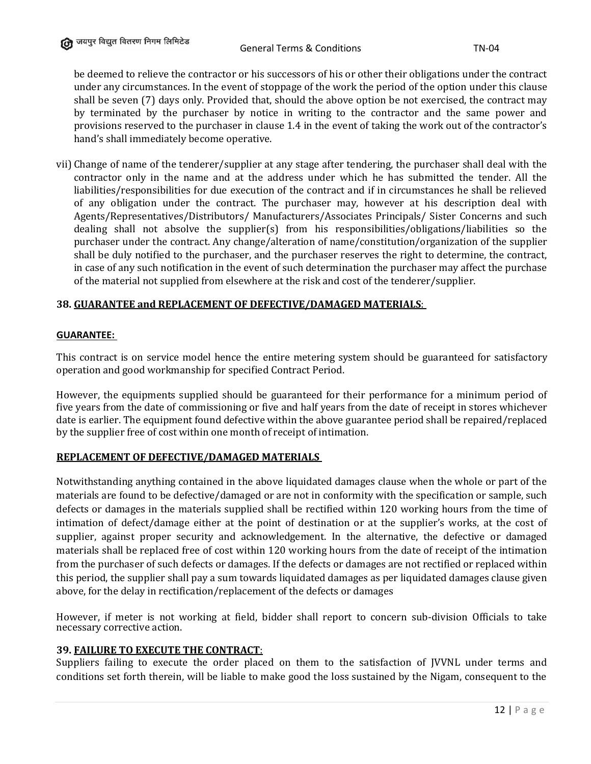be deemed to relieve the contractor or his successors of his or other their obligations under the contract under any circumstances. In the event of stoppage of the work the period of the option under this clause shall be seven (7) days only. Provided that, should the above option be not exercised, the contract may by terminated by the purchaser by notice in writing to the contractor and the same power and provisions reserved to the purchaser in clause 1.4 in the event of taking the work out of the contractor's hand's shall immediately become operative.

vii) Change of name of the tenderer/supplier at any stage after tendering, the purchaser shall deal with the contractor only in the name and at the address under which he has submitted the tender. All the liabilities/responsibilities for due execution of the contract and if in circumstances he shall be relieved of any obligation under the contract. The purchaser may, however at his description deal with Agents/Representatives/Distributors/ Manufacturers/Associates Principals/ Sister Concerns and such dealing shall not absolve the supplier(s) from his responsibilities/obligations/liabilities so the purchaser under the contract. Any change/alteration of name/constitution/organization of the supplier shall be duly notified to the purchaser, and the purchaser reserves the right to determine, the contract, in case of any such notification in the event of such determination the purchaser may affect the purchase of the material not supplied from elsewhere at the risk and cost of the tenderer/supplier.

### **38. GUARANTEE and REPLACEMENT OF DEFECTIVE/DAMAGED MATERIALS**:

#### **GUARANTEE:**

This contract is on service model hence the entire metering system should be guaranteed for satisfactory operation and good workmanship for specified Contract Period.

However, the equipments supplied should be guaranteed for their performance for a minimum period of five years from the date of commissioning or five and half years from the date of receipt in stores whichever date is earlier. The equipment found defective within the above guarantee period shall be repaired/replaced by the supplier free of cost within one month of receipt of intimation.

#### **REPLACEMENT OF DEFECTIVE/DAMAGED MATERIALS**

Notwithstanding anything contained in the above liquidated damages clause when the whole or part of the materials are found to be defective/damaged or are not in conformity with the specification or sample, such defects or damages in the materials supplied shall be rectified within 120 working hours from the time of intimation of defect/damage either at the point of destination or at the supplier's works, at the cost of supplier, against proper security and acknowledgement. In the alternative, the defective or damaged materials shall be replaced free of cost within 120 working hours from the date of receipt of the intimation from the purchaser of such defects or damages. If the defects or damages are not rectified or replaced within this period, the supplier shall pay a sum towards liquidated damages as per liquidated damages clause given above, for the delay in rectification/replacement of the defects or damages

However, if meter is not working at field, bidder shall report to concern sub-division Officials to take necessary corrective action.

#### **39. FAILURE TO EXECUTE THE CONTRACT**:

Suppliers failing to execute the order placed on them to the satisfaction of JVVNL under terms and conditions set forth therein, will be liable to make good the loss sustained by the Nigam, consequent to the